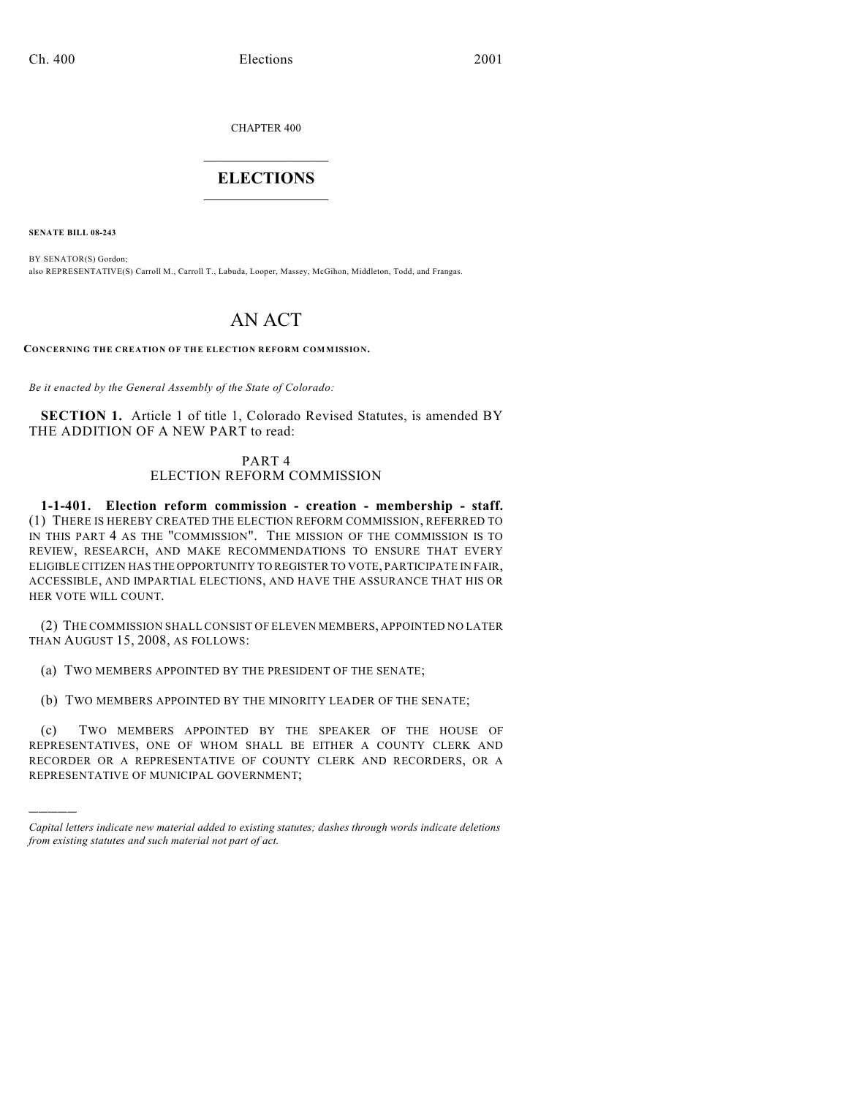CHAPTER 400

## $\overline{\phantom{a}}$  . The set of the set of the set of the set of the set of the set of the set of the set of the set of the set of the set of the set of the set of the set of the set of the set of the set of the set of the set o **ELECTIONS**  $\_$

**SENATE BILL 08-243**

)))))

BY SENATOR(S) Gordon; also REPRESENTATIVE(S) Carroll M., Carroll T., Labuda, Looper, Massey, McGihon, Middleton, Todd, and Frangas.

## AN ACT

**CONCERNING THE CREATION OF THE ELECTION REFORM COMMISSION.**

*Be it enacted by the General Assembly of the State of Colorado:*

**SECTION 1.** Article 1 of title 1, Colorado Revised Statutes, is amended BY THE ADDITION OF A NEW PART to read:

## PART 4 ELECTION REFORM COMMISSION

**1-1-401. Election reform commission - creation - membership - staff.** (1) THERE IS HEREBY CREATED THE ELECTION REFORM COMMISSION, REFERRED TO IN THIS PART 4 AS THE "COMMISSION". THE MISSION OF THE COMMISSION IS TO REVIEW, RESEARCH, AND MAKE RECOMMENDATIONS TO ENSURE THAT EVERY ELIGIBLE CITIZEN HAS THE OPPORTUNITY TO REGISTER TO VOTE, PARTICIPATE IN FAIR, ACCESSIBLE, AND IMPARTIAL ELECTIONS, AND HAVE THE ASSURANCE THAT HIS OR HER VOTE WILL COUNT.

(2) THE COMMISSION SHALL CONSIST OF ELEVEN MEMBERS, APPOINTED NO LATER THAN AUGUST 15, 2008, AS FOLLOWS:

(a) TWO MEMBERS APPOINTED BY THE PRESIDENT OF THE SENATE;

(b) TWO MEMBERS APPOINTED BY THE MINORITY LEADER OF THE SENATE;

(c) TWO MEMBERS APPOINTED BY THE SPEAKER OF THE HOUSE OF REPRESENTATIVES, ONE OF WHOM SHALL BE EITHER A COUNTY CLERK AND RECORDER OR A REPRESENTATIVE OF COUNTY CLERK AND RECORDERS, OR A REPRESENTATIVE OF MUNICIPAL GOVERNMENT;

*Capital letters indicate new material added to existing statutes; dashes through words indicate deletions from existing statutes and such material not part of act.*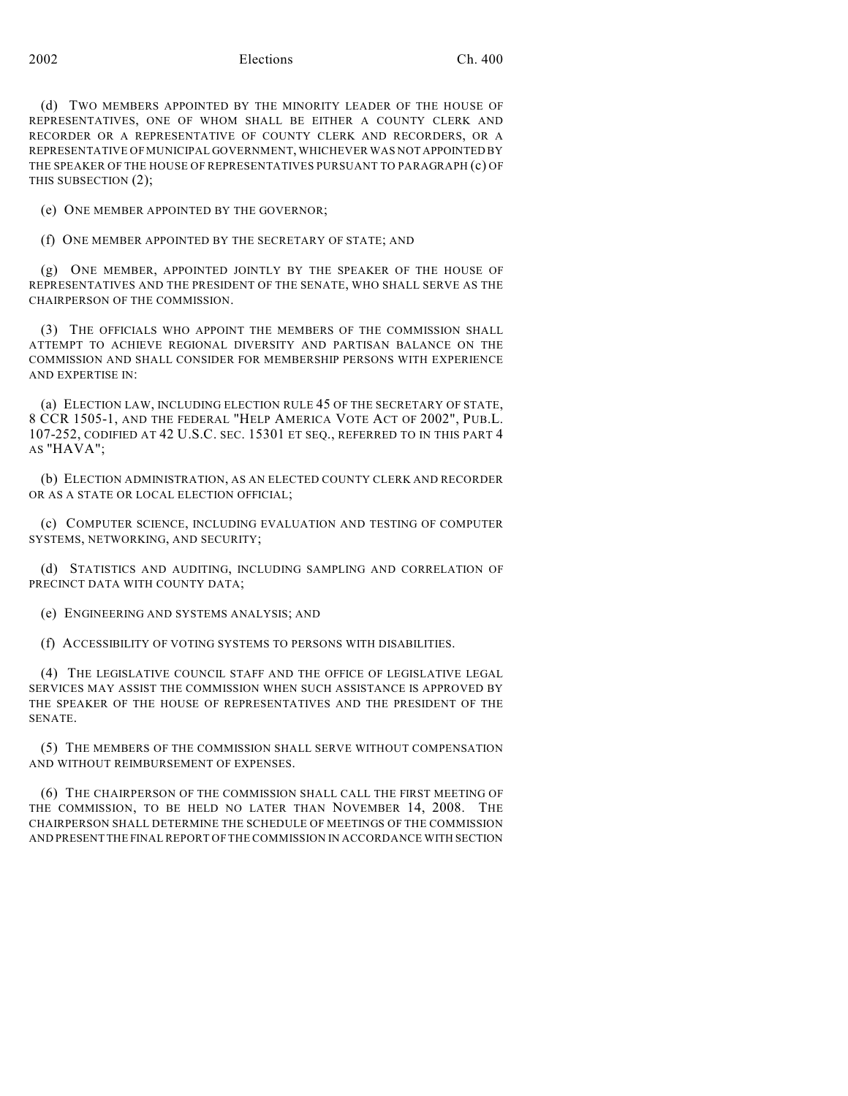(d) TWO MEMBERS APPOINTED BY THE MINORITY LEADER OF THE HOUSE OF REPRESENTATIVES, ONE OF WHOM SHALL BE EITHER A COUNTY CLERK AND RECORDER OR A REPRESENTATIVE OF COUNTY CLERK AND RECORDERS, OR A REPRESENTATIVE OF MUNICIPAL GOVERNMENT, WHICHEVER WAS NOT APPOINTED BY THE SPEAKER OF THE HOUSE OF REPRESENTATIVES PURSUANT TO PARAGRAPH (c) OF THIS SUBSECTION (2);

(e) ONE MEMBER APPOINTED BY THE GOVERNOR;

(f) ONE MEMBER APPOINTED BY THE SECRETARY OF STATE; AND

(g) ONE MEMBER, APPOINTED JOINTLY BY THE SPEAKER OF THE HOUSE OF REPRESENTATIVES AND THE PRESIDENT OF THE SENATE, WHO SHALL SERVE AS THE CHAIRPERSON OF THE COMMISSION.

(3) THE OFFICIALS WHO APPOINT THE MEMBERS OF THE COMMISSION SHALL ATTEMPT TO ACHIEVE REGIONAL DIVERSITY AND PARTISAN BALANCE ON THE COMMISSION AND SHALL CONSIDER FOR MEMBERSHIP PERSONS WITH EXPERIENCE AND EXPERTISE IN:

(a) ELECTION LAW, INCLUDING ELECTION RULE 45 OF THE SECRETARY OF STATE, 8 CCR 1505-1, AND THE FEDERAL "HELP AMERICA VOTE ACT OF 2002", PUB.L. 107-252, CODIFIED AT 42 U.S.C. SEC. 15301 ET SEQ., REFERRED TO IN THIS PART 4 AS "HAVA";

(b) ELECTION ADMINISTRATION, AS AN ELECTED COUNTY CLERK AND RECORDER OR AS A STATE OR LOCAL ELECTION OFFICIAL;

(c) COMPUTER SCIENCE, INCLUDING EVALUATION AND TESTING OF COMPUTER SYSTEMS, NETWORKING, AND SECURITY;

(d) STATISTICS AND AUDITING, INCLUDING SAMPLING AND CORRELATION OF PRECINCT DATA WITH COUNTY DATA;

(e) ENGINEERING AND SYSTEMS ANALYSIS; AND

(f) ACCESSIBILITY OF VOTING SYSTEMS TO PERSONS WITH DISABILITIES.

(4) THE LEGISLATIVE COUNCIL STAFF AND THE OFFICE OF LEGISLATIVE LEGAL SERVICES MAY ASSIST THE COMMISSION WHEN SUCH ASSISTANCE IS APPROVED BY THE SPEAKER OF THE HOUSE OF REPRESENTATIVES AND THE PRESIDENT OF THE SENATE.

(5) THE MEMBERS OF THE COMMISSION SHALL SERVE WITHOUT COMPENSATION AND WITHOUT REIMBURSEMENT OF EXPENSES.

(6) THE CHAIRPERSON OF THE COMMISSION SHALL CALL THE FIRST MEETING OF THE COMMISSION, TO BE HELD NO LATER THAN NOVEMBER 14, 2008. THE CHAIRPERSON SHALL DETERMINE THE SCHEDULE OF MEETINGS OF THE COMMISSION AND PRESENT THE FINAL REPORT OF THE COMMISSION IN ACCORDANCE WITH SECTION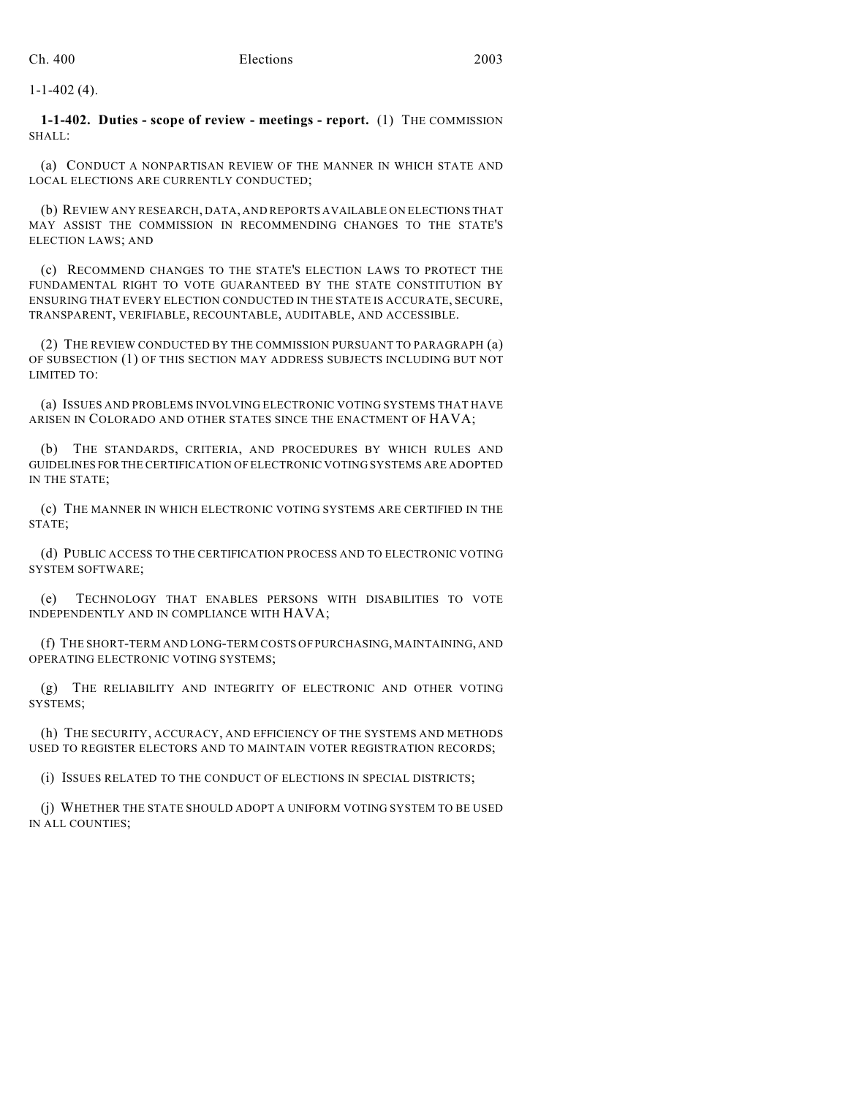1-1-402 (4).

**1-1-402. Duties - scope of review - meetings - report.** (1) THE COMMISSION SHALL:

(a) CONDUCT A NONPARTISAN REVIEW OF THE MANNER IN WHICH STATE AND LOCAL ELECTIONS ARE CURRENTLY CONDUCTED;

(b) REVIEW ANY RESEARCH, DATA, AND REPORTS AVAILABLE ON ELECTIONS THAT MAY ASSIST THE COMMISSION IN RECOMMENDING CHANGES TO THE STATE'S ELECTION LAWS; AND

(c) RECOMMEND CHANGES TO THE STATE'S ELECTION LAWS TO PROTECT THE FUNDAMENTAL RIGHT TO VOTE GUARANTEED BY THE STATE CONSTITUTION BY ENSURING THAT EVERY ELECTION CONDUCTED IN THE STATE IS ACCURATE, SECURE, TRANSPARENT, VERIFIABLE, RECOUNTABLE, AUDITABLE, AND ACCESSIBLE.

(2) THE REVIEW CONDUCTED BY THE COMMISSION PURSUANT TO PARAGRAPH (a) OF SUBSECTION (1) OF THIS SECTION MAY ADDRESS SUBJECTS INCLUDING BUT NOT LIMITED TO:

(a) ISSUES AND PROBLEMS INVOLVING ELECTRONIC VOTING SYSTEMS THAT HAVE ARISEN IN COLORADO AND OTHER STATES SINCE THE ENACTMENT OF HAVA;

(b) THE STANDARDS, CRITERIA, AND PROCEDURES BY WHICH RULES AND GUIDELINES FOR THE CERTIFICATION OF ELECTRONIC VOTING SYSTEMS ARE ADOPTED IN THE STATE;

(c) THE MANNER IN WHICH ELECTRONIC VOTING SYSTEMS ARE CERTIFIED IN THE STATE;

(d) PUBLIC ACCESS TO THE CERTIFICATION PROCESS AND TO ELECTRONIC VOTING SYSTEM SOFTWARE;

(e) TECHNOLOGY THAT ENABLES PERSONS WITH DISABILITIES TO VOTE INDEPENDENTLY AND IN COMPLIANCE WITH HAVA;

(f) THE SHORT-TERM AND LONG-TERM COSTS OF PURCHASING, MAINTAINING, AND OPERATING ELECTRONIC VOTING SYSTEMS;

(g) THE RELIABILITY AND INTEGRITY OF ELECTRONIC AND OTHER VOTING SYSTEMS;

(h) THE SECURITY, ACCURACY, AND EFFICIENCY OF THE SYSTEMS AND METHODS USED TO REGISTER ELECTORS AND TO MAINTAIN VOTER REGISTRATION RECORDS;

(i) ISSUES RELATED TO THE CONDUCT OF ELECTIONS IN SPECIAL DISTRICTS;

(j) WHETHER THE STATE SHOULD ADOPT A UNIFORM VOTING SYSTEM TO BE USED IN ALL COUNTIES;